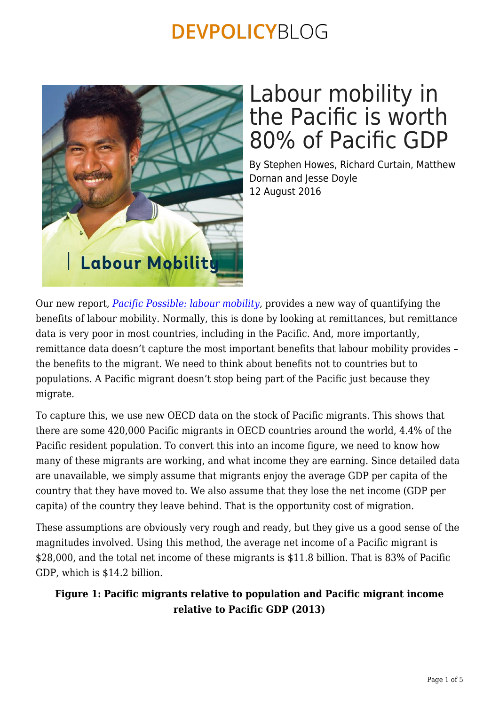

# Labour mobility in the Pacific is worth 80% of Pacific GDP

By Stephen Howes, Richard Curtain, Matthew Dornan and Jesse Doyle 12 August 2016

Our new report, *[Pacific Possible: labour mobility,](http://pubdocs.worldbank.org/en/555421468204932199/labour-mobility-pacific-possible.pdf)* provides a new way of quantifying the benefits of labour mobility. Normally, this is done by looking at remittances, but remittance data is very poor in most countries, including in the Pacific. And, more importantly, remittance data doesn't capture the most important benefits that labour mobility provides – the benefits to the migrant. We need to think about benefits not to countries but to populations. A Pacific migrant doesn't stop being part of the Pacific just because they migrate.

To capture this, we use new OECD data on the stock of Pacific migrants. This shows that there are some 420,000 Pacific migrants in OECD countries around the world, 4.4% of the Pacific resident population. To convert this into an income figure, we need to know how many of these migrants are working, and what income they are earning. Since detailed data are unavailable, we simply assume that migrants enjoy the average GDP per capita of the country that they have moved to. We also assume that they lose the net income (GDP per capita) of the country they leave behind. That is the opportunity cost of migration.

These assumptions are obviously very rough and ready, but they give us a good sense of the magnitudes involved. Using this method, the average net income of a Pacific migrant is \$28,000, and the total net income of these migrants is \$11.8 billion. That is 83% of Pacific GDP, which is \$14.2 billion.

### **Figure 1: Pacific migrants relative to population and Pacific migrant income relative to Pacific GDP (2013)**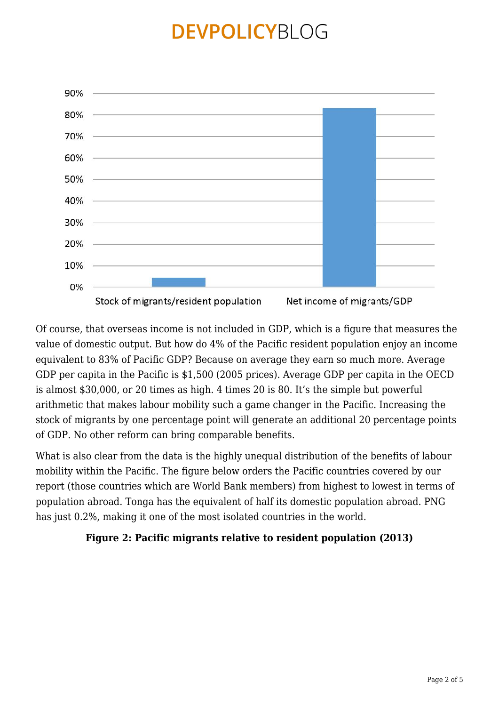

Of course, that overseas income is not included in GDP, which is a figure that measures the value of domestic output. But how do 4% of the Pacific resident population enjoy an income equivalent to 83% of Pacific GDP? Because on average they earn so much more. Average GDP per capita in the Pacific is \$1,500 (2005 prices). Average GDP per capita in the OECD is almost \$30,000, or 20 times as high. 4 times 20 is 80. It's the simple but powerful arithmetic that makes labour mobility such a game changer in the Pacific. Increasing the stock of migrants by one percentage point will generate an additional 20 percentage points of GDP. No other reform can bring comparable benefits.

What is also clear from the data is the highly unequal distribution of the benefits of labour mobility within the Pacific. The figure below orders the Pacific countries covered by our report (those countries which are World Bank members) from highest to lowest in terms of population abroad. Tonga has the equivalent of half its domestic population abroad. PNG has just 0.2%, making it one of the most isolated countries in the world.

### **Figure 2: Pacific migrants relative to resident population (2013)**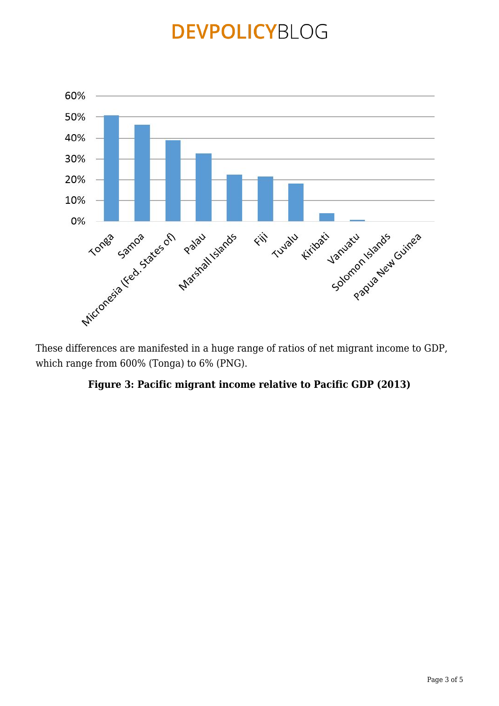

These differences are manifested in a huge range of ratios of net migrant income to GDP, which range from 600% (Tonga) to 6% (PNG).

#### **Figure 3: Pacific migrant income relative to Pacific GDP (2013)**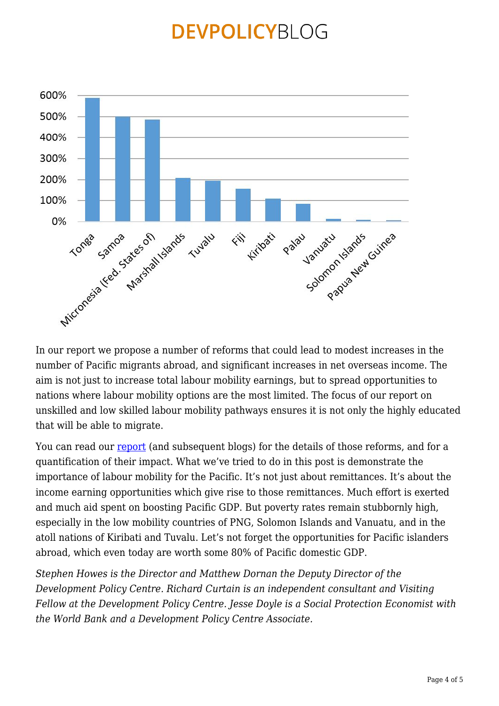

In our report we propose a number of reforms that could lead to modest increases in the number of Pacific migrants abroad, and significant increases in net overseas income. The aim is not just to increase total labour mobility earnings, but to spread opportunities to nations where labour mobility options are the most limited. The focus of our report on unskilled and low skilled labour mobility pathways ensures it is not only the highly educated that will be able to migrate.

You can read our [report](http://pubdocs.worldbank.org/en/555421468204932199/labour-mobility-pacific-possible.pdf) (and subsequent blogs) for the details of those reforms, and for a quantification of their impact. What we've tried to do in this post is demonstrate the importance of labour mobility for the Pacific. It's not just about remittances. It's about the income earning opportunities which give rise to those remittances. Much effort is exerted and much aid spent on boosting Pacific GDP. But poverty rates remain stubbornly high, especially in the low mobility countries of PNG, Solomon Islands and Vanuatu, and in the atoll nations of Kiribati and Tuvalu. Let's not forget the opportunities for Pacific islanders abroad, which even today are worth some 80% of Pacific domestic GDP.

*Stephen Howes is the Director and Matthew Dornan the Deputy Director of the Development Policy Centre. Richard Curtain is an independent consultant and Visiting Fellow at the Development Policy Centre. Jesse Doyle is a Social Protection Economist with the World Bank and a Development Policy Centre Associate.*